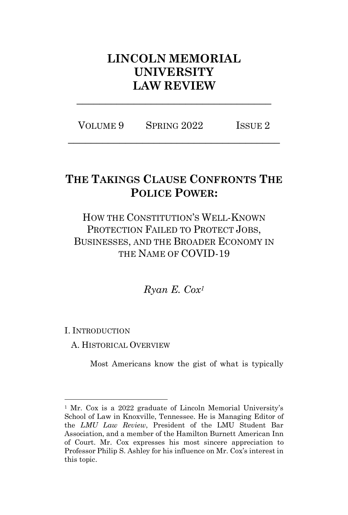# **LINCOLN MEMORIAL UNIVERSITY LAW REVIEW**

VOLUME 9 SPRING 2022 ISSUE 2 **\_\_\_\_\_\_\_\_\_\_\_\_\_\_\_\_\_\_\_\_\_\_\_\_\_\_\_\_\_\_\_\_\_\_\_\_\_**

**\_\_\_\_\_\_\_\_\_\_\_\_\_\_\_\_\_\_\_\_\_\_\_\_\_\_\_\_\_\_\_\_\_\_**

# **THE TAKINGS CLAUSE CONFRONTS THE POLICE POWER:**

# HOW THE CONSTITUTION'S WELL-KNOWN PROTECTION FAILED TO PROTECT JOBS, BUSINESSES, AND THE BROADER ECONOMY IN THE NAME OF COVID-19

*Ryan E. Cox<sup>1</sup>*

I. INTRODUCTION

A. HISTORICAL OVERVIEW

Most Americans know the gist of what is typically

<sup>&</sup>lt;sup>1</sup> Mr. Cox is a 2022 graduate of Lincoln Memorial University's School of Law in Knoxville, Tennessee. He is Managing Editor of the *LMU Law Review*, President of the LMU Student Bar Association, and a member of the Hamilton Burnett American Inn of Court. Mr. Cox expresses his most sincere appreciation to Professor Philip S. Ashley for his influence on Mr. Cox's interest in this topic.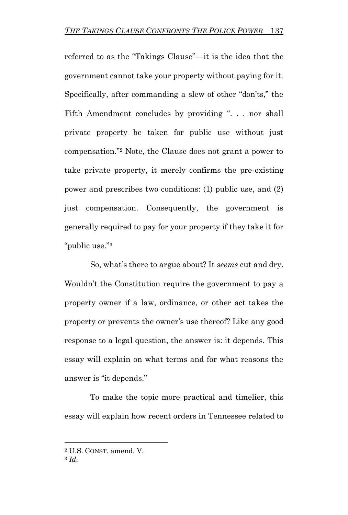referred to as the "Takings Clause"—it is the idea that the government cannot take your property without paying for it. Specifically, after commanding a slew of other "don'ts," the Fifth Amendment concludes by providing ". . . nor shall private property be taken for public use without just compensation."<sup>2</sup> Note, the Clause does not grant a power to take private property, it merely confirms the pre-existing power and prescribes two conditions: (1) public use, and (2) just compensation. Consequently, the government is generally required to pay for your property if they take it for "public use."<sup>3</sup>

So, what's there to argue about? It *seems* cut and dry. Wouldn't the Constitution require the government to pay a property owner if a law, ordinance, or other act takes the property or prevents the owner's use thereof? Like any good response to a legal question, the answer is: it depends. This essay will explain on what terms and for what reasons the answer is "it depends."

To make the topic more practical and timelier, this essay will explain how recent orders in Tennessee related to

<sup>2</sup> U.S. CONST. amend. V.

<sup>3</sup> *Id*.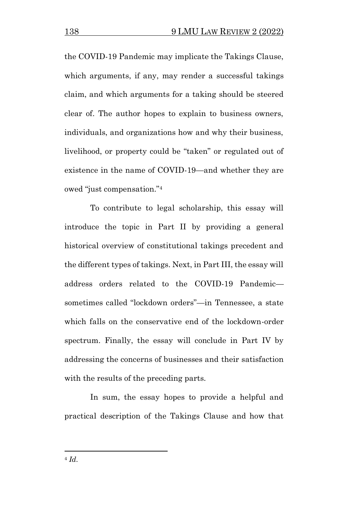the COVID-19 Pandemic may implicate the Takings Clause, which arguments, if any, may render a successful takings claim, and which arguments for a taking should be steered clear of. The author hopes to explain to business owners, individuals, and organizations how and why their business, livelihood, or property could be "taken" or regulated out of existence in the name of COVID-19—and whether they are owed "just compensation."<sup>4</sup>

To contribute to legal scholarship, this essay will introduce the topic in Part II by providing a general historical overview of constitutional takings precedent and the different types of takings. Next, in Part III, the essay will address orders related to the COVID-19 Pandemic sometimes called "lockdown orders"—in Tennessee, a state which falls on the conservative end of the lockdown-order spectrum. Finally, the essay will conclude in Part IV by addressing the concerns of businesses and their satisfaction with the results of the preceding parts.

In sum, the essay hopes to provide a helpful and practical description of the Takings Clause and how that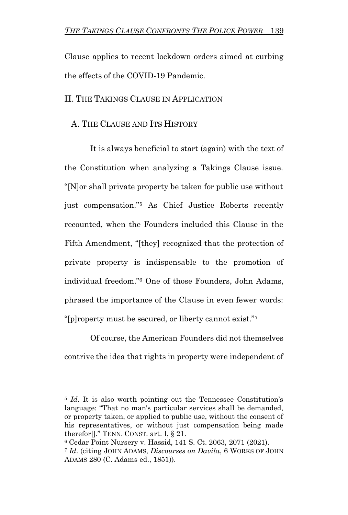Clause applies to recent lockdown orders aimed at curbing the effects of the COVID-19 Pandemic.

II. THE TAKINGS CLAUSE IN APPLICATION

### A. THE CLAUSE AND ITS HISTORY

It is always beneficial to start (again) with the text of the Constitution when analyzing a Takings Clause issue. "[N]or shall private property be taken for public use without just compensation."<sup>5</sup> As Chief Justice Roberts recently recounted, when the Founders included this Clause in the Fifth Amendment, "[they] recognized that the protection of private property is indispensable to the promotion of individual freedom."<sup>6</sup> One of those Founders, John Adams, phrased the importance of the Clause in even fewer words: "[p]roperty must be secured, or liberty cannot exist."<sup>7</sup>

Of course, the American Founders did not themselves contrive the idea that rights in property were independent of

<sup>&</sup>lt;sup>5</sup> *Id*. It is also worth pointing out the Tennessee Constitution's language: "That no man's particular services shall be demanded, or property taken, or applied to public use, without the consent of his representatives, or without just compensation being made therefor $\prod$ ." TENN. CONST. art. I,  $\S 21$ .

<sup>6</sup> Cedar Point Nursery v. Hassid, 141 S. Ct. 2063, 2071 (2021).

<sup>7</sup> *Id*. (citing JOHN ADAMS, *Discourses on Davila*, 6 WORKS OF JOHN ADAMS 280 (C. Adams ed., 1851)).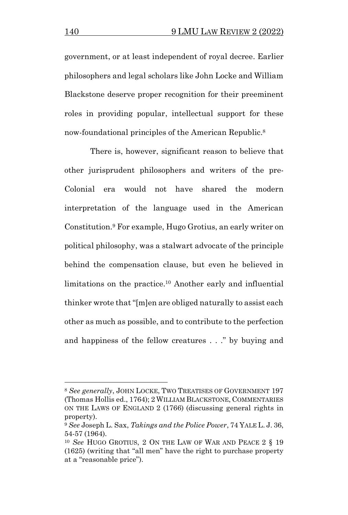government, or at least independent of royal decree. Earlier philosophers and legal scholars like John Locke and William Blackstone deserve proper recognition for their preeminent roles in providing popular, intellectual support for these now-foundational principles of the American Republic.<sup>8</sup>

There is, however, significant reason to believe that other jurisprudent philosophers and writers of the pre-Colonial era would not have shared the modern interpretation of the language used in the American Constitution.<sup>9</sup> For example, Hugo Grotius, an early writer on political philosophy, was a stalwart advocate of the principle behind the compensation clause, but even he believed in limitations on the practice.<sup>10</sup> Another early and influential thinker wrote that "[m]en are obliged naturally to assist each other as much as possible, and to contribute to the perfection and happiness of the fellow creatures . . ." by buying and

<sup>8</sup> *See generally*, JOHN LOCKE, TWO TREATISES OF GOVERNMENT 197 (Thomas Hollis ed., 1764); 2 WILLIAM BLACKSTONE, COMMENTARIES ON THE LAWS OF ENGLAND 2 (1766) (discussing general rights in property).

<sup>9</sup> *See* Joseph L. Sax, *Takings and the Police Power*,74 YALE L.J.36, 54-57 (1964).

<sup>10</sup> *See* HUGO GROTIUS, 2 ON THE LAW OF WAR AND PEACE 2 § 19 (1625) (writing that "all men" have the right to purchase property at a "reasonable price").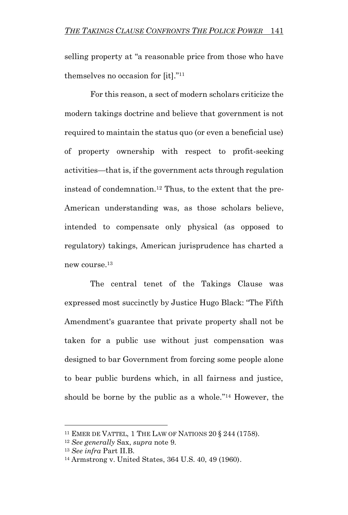selling property at "a reasonable price from those who have themselves no occasion for [it]."<sup>11</sup>

For this reason, a sect of modern scholars criticize the modern takings doctrine and believe that government is not required to maintain the status quo (or even a beneficial use) of property ownership with respect to profit-seeking activities—that is, if the government acts through regulation instead of condemnation.<sup>12</sup> Thus, to the extent that the pre-American understanding was, as those scholars believe, intended to compensate only physical (as opposed to regulatory) takings, American jurisprudence has charted a new course.<sup>13</sup>

The central tenet of the Takings Clause was expressed most succinctly by Justice Hugo Black: "The Fifth Amendment's guarantee that private property shall not be taken for a public use without just compensation was designed to bar Government from forcing some people alone to bear public burdens which, in all fairness and justice, should be borne by the public as a whole." <sup>14</sup> However, the

<sup>11</sup> EMER DE VATTEL, 1 THE LAW OF NATIONS 20 § 244 (1758).

<sup>12</sup> *See generally* Sax, *supra* note 9.

<sup>13</sup> *See infra* Part II.B.

<sup>14</sup> Armstrong v. United States, 364 U.S. 40, 49 (1960).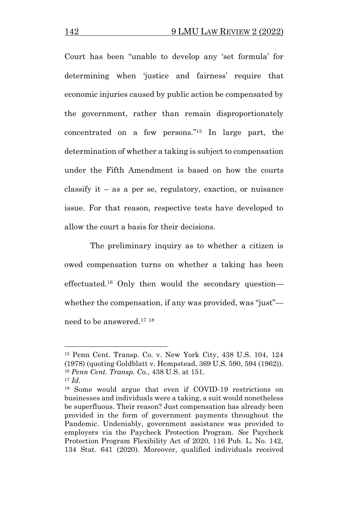Court has been "unable to develop any 'set formula' for determining when 'justice and fairness' require that economic injuries caused by public action be compensated by the government, rather than remain disproportionately concentrated on a few persons."<sup>15</sup> In large part, the determination of whether a taking is subject to compensation under the Fifth Amendment is based on how the courts classify it – as a per se, regulatory, exaction, or nuisance issue. For that reason, respective tests have developed to allow the court a basis for their decisions.

The preliminary inquiry as to whether a citizen is owed compensation turns on whether a taking has been effectuated.<sup>16</sup> Only then would the secondary question whether the compensation, if any was provided, was "just" need to be answered.<sup>17</sup> <sup>18</sup>

<sup>15</sup> Penn Cent. Transp. Co. v. New York City, 438 U.S. 104, 124 (1978) (quoting Goldblatt v. Hempstead, 369 U.S. 590, 594 (1962)). <sup>16</sup> *Penn Cent. Transp. Co.*, 438 U.S. at 151.

<sup>17</sup> *Id*.

<sup>18</sup> Some would argue that even if COVID-19 restrictions on businesses and individuals were a taking, a suit would nonetheless be superfluous. Their reason? Just compensation has already been provided in the form of government payments throughout the Pandemic. Undeniably, government assistance was provided to employers via the Paycheck Protection Program. *See* Paycheck Protection Program Flexibility Act of 2020, 116 Pub. L. No. 142, 134 Stat. 641 (2020). Moreover, qualified individuals received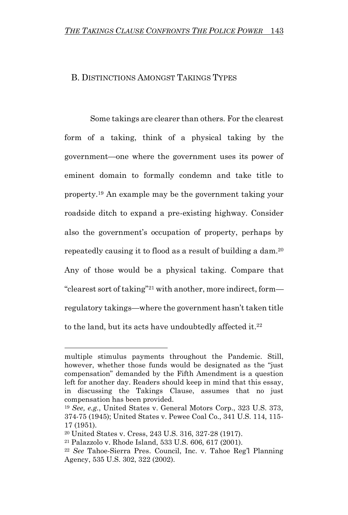#### B. DISTINCTIONS AMONGST TAKINGS TYPES

Some takings are clearer than others. For the clearest form of a taking, think of a physical taking by the government—one where the government uses its power of eminent domain to formally condemn and take title to property.<sup>19</sup> An example may be the government taking your roadside ditch to expand a pre-existing highway. Consider also the government's occupation of property, perhaps by repeatedly causing it to flood as a result of building a dam.<sup>20</sup> Any of those would be a physical taking. Compare that "clearest sort of taking"<sup>21</sup> with another, more indirect, form regulatory takings—where the government hasn't taken title to the land, but its acts have undoubtedly affected it.<sup>22</sup>

multiple stimulus payments throughout the Pandemic. Still, however, whether those funds would be designated as the "just compensation" demanded by the Fifth Amendment is a question left for another day. Readers should keep in mind that this essay, in discussing the Takings Clause, assumes that no just compensation has been provided.

<sup>19</sup> *See, e.g.*, United States v. General Motors Corp., 323 U.S. 373, 374-75 (1945); United States v. Pewee Coal Co., 341 U.S. 114, 115- 17 (1951).

<sup>20</sup> United States v. Cress, 243 U.S. 316, 327-28 (1917).

<sup>21</sup> Palazzolo v. Rhode Island, 533 U.S. 606, 617 (2001).

<sup>22</sup> *See* Tahoe-Sierra Pres. Council, Inc. v. Tahoe Reg'l Planning Agency, 535 U.S. 302, 322 (2002).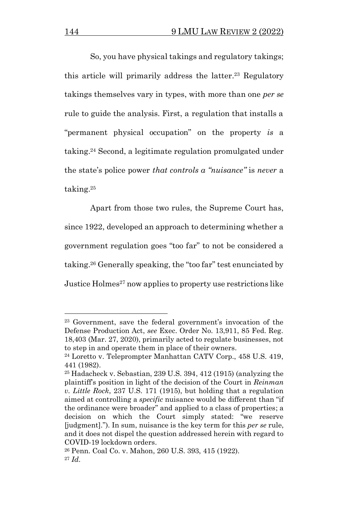So, you have physical takings and regulatory takings; this article will primarily address the latter. <sup>23</sup> Regulatory takings themselves vary in types, with more than one *per se*  rule to guide the analysis. First, a regulation that installs a "permanent physical occupation" on the property *is* a taking.<sup>24</sup> Second, a legitimate regulation promulgated under the state's police power *that controls a "nuisance"* is *never* a taking.<sup>25</sup>

Apart from those two rules, the Supreme Court has, since 1922, developed an approach to determining whether a government regulation goes "too far" to not be considered a taking.<sup>26</sup> Generally speaking, the "too far" test enunciated by Justice Holmes<sup>27</sup> now applies to property use restrictions like

<sup>23</sup> Government, save the federal government's invocation of the Defense Production Act, *see* Exec. Order No. 13,911, 85 Fed. Reg. 18,403 (Mar. 27, 2020), primarily acted to regulate businesses, not to step in and operate them in place of their owners.

<sup>24</sup> Loretto v. Teleprompter Manhattan CATV Corp., 458 U.S. 419, 441 (1982).

<sup>25</sup> Hadacheck v. Sebastian, 239 U.S. 394, 412 (1915) (analyzing the plaintiff's position in light of the decision of the Court in *Reinman v. Little Rock*, 237 U.S. 171 (1915), but holding that a regulation aimed at controlling a *specific* nuisance would be different than "if the ordinance were broader" and applied to a class of properties; a decision on which the Court simply stated: "we reserve [judgment]."). In sum, nuisance is the key term for this *per se* rule, and it does not dispel the question addressed herein with regard to COVID-19 lockdown orders.

<sup>26</sup> Penn. Coal Co. v. Mahon, 260 U.S. 393, 415 (1922). <sup>27</sup> *Id*.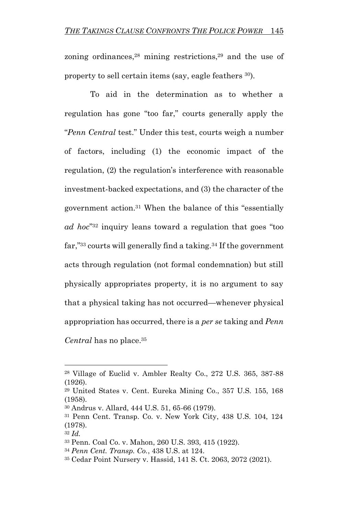zoning ordinances,<sup>28</sup> mining restrictions,<sup>29</sup> and the use of property to sell certain items (say, eagle feathers <sup>30</sup>).

To aid in the determination as to whether a regulation has gone "too far," courts generally apply the "*Penn Central* test." Under this test, courts weigh a number of factors, including (1) the economic impact of the regulation, (2) the regulation's interference with reasonable investment-backed expectations, and (3) the character of the government action.<sup>31</sup> When the balance of this "essentially *ad hoc*" <sup>32</sup> inquiry leans toward a regulation that goes "too far,"<sup>33</sup> courts will generally find a taking.<sup>34</sup> If the government acts through regulation (not formal condemnation) but still physically appropriates property, it is no argument to say that a physical taking has not occurred—whenever physical appropriation has occurred, there is a *per se* taking and *Penn Central* has no place.<sup>35</sup>

<sup>28</sup> Village of Euclid v. Ambler Realty Co., 272 U.S. 365, 387-88 (1926).

<sup>29</sup> United States v. Cent. Eureka Mining Co., 357 U.S. 155, 168 (1958).

<sup>30</sup> Andrus v. Allard, 444 U.S. 51, 65-66 (1979).

<sup>31</sup> Penn Cent. Transp. Co. v. New York City, 438 U.S. 104, 124 (1978).

<sup>32</sup> *Id.*

<sup>33</sup> Penn. Coal Co. v. Mahon, 260 U.S. 393, 415 (1922).

<sup>34</sup> *Penn Cent. Transp. Co.*, 438 U.S. at 124.

<sup>35</sup> Cedar Point Nursery v. Hassid, 141 S. Ct. 2063, 2072 (2021).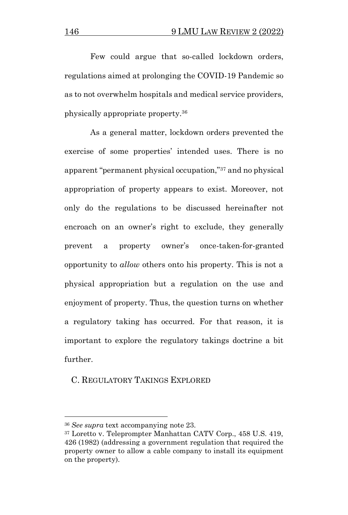Few could argue that so-called lockdown orders, regulations aimed at prolonging the COVID-19 Pandemic so as to not overwhelm hospitals and medical service providers, physically appropriate property.<sup>36</sup>

As a general matter, lockdown orders prevented the exercise of some properties' intended uses. There is no apparent "permanent physical occupation,"<sup>37</sup> and no physical appropriation of property appears to exist. Moreover, not only do the regulations to be discussed hereinafter not encroach on an owner's right to exclude, they generally prevent a property owner's once-taken-for-granted opportunity to *allow* others onto his property. This is not a physical appropriation but a regulation on the use and enjoyment of property. Thus, the question turns on whether a regulatory taking has occurred. For that reason, it is important to explore the regulatory takings doctrine a bit further.

#### C. REGULATORY TAKINGS EXPLORED

<sup>36</sup> *See supra* text accompanying note 23.

<sup>37</sup> Loretto v. Teleprompter Manhattan CATV Corp., 458 U.S. 419, 426 (1982) (addressing a government regulation that required the property owner to allow a cable company to install its equipment on the property).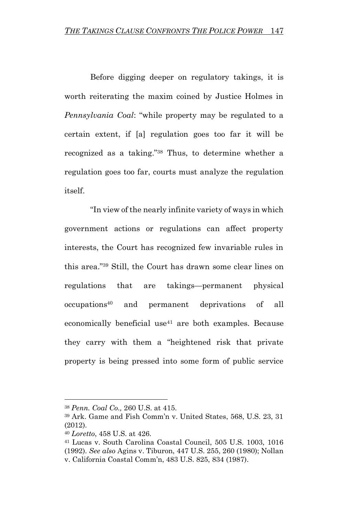Before digging deeper on regulatory takings, it is worth reiterating the maxim coined by Justice Holmes in *Pennsylvania Coal*: "while property may be regulated to a certain extent, if [a] regulation goes too far it will be recognized as a taking."<sup>38</sup> Thus, to determine whether a regulation goes too far, courts must analyze the regulation itself.

"In view of the nearly infinite variety of ways in which government actions or regulations can affect property interests, the Court has recognized few invariable rules in this area."<sup>39</sup> Still, the Court has drawn some clear lines on regulations that are takings—permanent physical occupations<sup>40</sup> and permanent deprivations of all economically beneficial use<sup>41</sup> are both examples. Because they carry with them a "heightened risk that private property is being pressed into some form of public service

<sup>38</sup> *Penn. Coal Co.,* 260 U.S. at 415.

<sup>39</sup> Ark. Game and Fish Comm'n v. United States, 568, U.S. 23, 31 (2012).

<sup>40</sup> *Loretto*, 458 U.S. at 426.

<sup>41</sup> Lucas v. South Carolina Coastal Council, 505 U.S. 1003, 1016 (1992). *See also* Agins v. Tiburon, 447 U.S. 255, 260 (1980); Nollan v. California Coastal Comm'n, 483 U.S. 825, 834 (1987).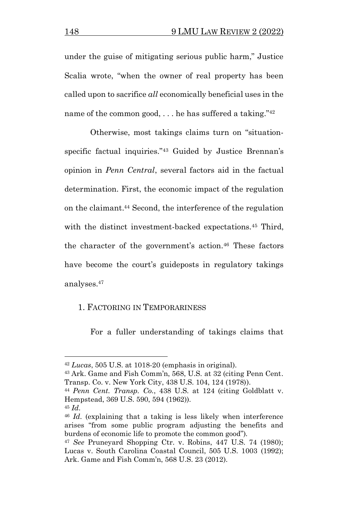under the guise of mitigating serious public harm," Justice Scalia wrote, "when the owner of real property has been called upon to sacrifice *all* economically beneficial uses in the name of the common good,  $\ldots$  he has suffered a taking."<sup>42</sup>

Otherwise, most takings claims turn on "situationspecific factual inquiries."<sup>43</sup> Guided by Justice Brennan's opinion in *Penn Central*, several factors aid in the factual determination. First, the economic impact of the regulation on the claimant. <sup>44</sup> Second, the interference of the regulation with the distinct investment-backed expectations.<sup>45</sup> Third, the character of the government's action.<sup>46</sup> These factors have become the court's guideposts in regulatory takings analyses. 47

## 1. FACTORING IN TEMPORARINESS

For a fuller understanding of takings claims that

<sup>42</sup> *Lucas*, 505 U.S. at 1018-20 (emphasis in original).

<sup>43</sup> Ark. Game and Fish Comm'n, 568, U.S. at 32 (citing Penn Cent. Transp. Co. v. New York City, 438 U.S. 104, 124 (1978)).

<sup>44</sup> *Penn Cent. Transp. Co.*, 438 U.S. at 124 (citing Goldblatt v. Hempstead, 369 U.S. 590, 594 (1962)).

<sup>45</sup> *Id*.

<sup>46</sup> *Id*. (explaining that a taking is less likely when interference arises "from some public program adjusting the benefits and burdens of economic life to promote the common good").

<sup>47</sup> *See* Pruneyard Shopping Ctr. v. Robins, 447 U.S. 74 (1980); Lucas v. South Carolina Coastal Council, 505 U.S. 1003 (1992); Ark. Game and Fish Comm'n, 568 U.S. 23 (2012).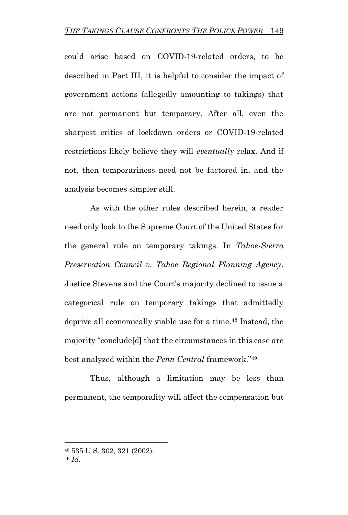could arise based on COVID-19-related orders, to be described in Part III, it is helpful to consider the impact of government actions (allegedly amounting to takings) that are not permanent but temporary. After all, even the sharpest critics of lockdown orders or COVID-19-related restrictions likely believe they will *eventually* relax. And if not, then temporariness need not be factored in, and the analysis becomes simpler still.

As with the other rules described herein, a reader need only look to the Supreme Court of the United States for the general rule on temporary takings. In *Tahoe-Sierra Preservation Council v. Tahoe Regional Planning Agency*, Justice Stevens and the Court's majority declined to issue a categorical rule on temporary takings that admittedly deprive all economically viable use for a time.<sup>48</sup> Instead, the majority "conclude[d] that the circumstances in this case are best analyzed within the *Penn Central* framework."<sup>49</sup>

Thus, although a limitation may be less than permanent, the temporality will affect the compensation but

<sup>48</sup> 535 U.S. 302, 321 (2002).

<sup>49</sup> *Id*.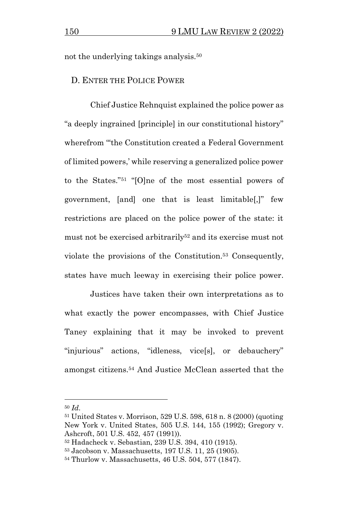not the underlying takings analysis.<sup>50</sup>

#### D. ENTER THE POLICE POWER

Chief Justice Rehnquist explained the police power as "a deeply ingrained [principle] in our constitutional history" wherefrom "'the Constitution created a Federal Government of limited powers,' while reserving a generalized police power to the States."<sup>51</sup> "[O]ne of the most essential powers of government, [and] one that is least limitable[,]" few restrictions are placed on the police power of the state: it must not be exercised arbitrarily<sup>52</sup> and its exercise must not violate the provisions of the Constitution.<sup>53</sup> Consequently, states have much leeway in exercising their police power.

Justices have taken their own interpretations as to what exactly the power encompasses, with Chief Justice Taney explaining that it may be invoked to prevent "injurious" actions, "idleness, vice[s], or debauchery" amongst citizens.<sup>54</sup> And Justice McClean asserted that the

<sup>50</sup> *Id*.

<sup>51</sup> United States v. Morrison, 529 U.S. 598, 618 n. 8 (2000) (quoting New York v. United States, 505 U.S. 144, 155 (1992); Gregory v. Ashcroft, 501 U.S. 452, 457 (1991)).

<sup>52</sup> Hadacheck v. Sebastian, 239 U.S. 394, 410 (1915).

<sup>53</sup> Jacobson v. Massachusetts, 197 U.S. 11, 25 (1905).

<sup>54</sup> Thurlow v. Massachusetts, 46 U.S. 504, 577 (1847).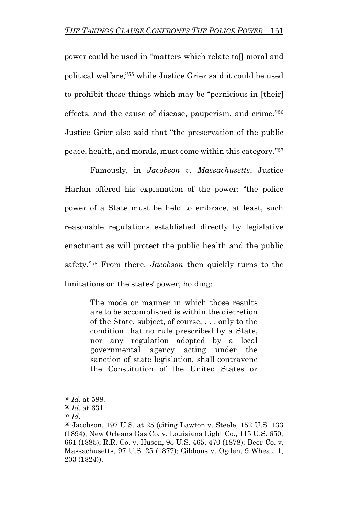power could be used in "matters which relate to[] moral and political welfare,"<sup>55</sup> while Justice Grier said it could be used to prohibit those things which may be "pernicious in [their] effects, and the cause of disease, pauperism, and crime."<sup>56</sup> Justice Grier also said that "the preservation of the public peace, health, and morals, must come within this category."<sup>57</sup>

Famously, in *Jacobson v. Massachusetts*, Justice Harlan offered his explanation of the power: "the police power of a State must be held to embrace, at least, such reasonable regulations established directly by legislative enactment as will protect the public health and the public safety."<sup>58</sup> From there, *Jacobson* then quickly turns to the limitations on the states' power, holding:

> The mode or manner in which those results are to be accomplished is within the discretion of the State, subject, of course, . . . only to the condition that no rule prescribed by a State, nor any regulation adopted by a local governmental agency acting under the sanction of state legislation, shall contravene the Constitution of the United States or

<sup>55</sup> *Id*. at 588.

<sup>56</sup> *Id.* at 631.

<sup>57</sup> *Id.*

<sup>58</sup> Jacobson, 197 U.S. at 25 (citing Lawton v. Steele, 152 U.S. 133 (1894); New Orleans Gas Co. v. Louisiana Light Co., 115 U.S. 650, 661 (1885); R.R. Co. v. Husen, 95 U.S. 465, 470 (1878); Beer Co. v. Massachusetts, 97 U.S. 25 (1877); Gibbons v. Ogden, 9 Wheat. 1, 203 (1824)).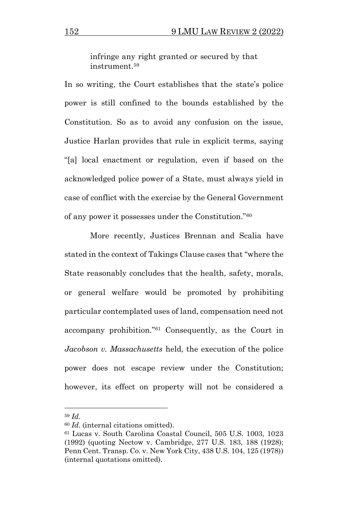infringe any right granted or secured by that instrument.<sup>59</sup>

In so writing, the Court establishes that the state's police power is still confined to the bounds established by the Constitution. So as to avoid any confusion on the issue, Justice Harlan provides that rule in explicit terms, saying "[a] local enactment or regulation, even if based on the acknowledged police power of a State, must always yield in case of conflict with the exercise by the General Government of any power it possesses under the Constitution."<sup>60</sup>

More recently, Justices Brennan and Scalia have stated in the context of Takings Clause cases that "where the State reasonably concludes that the health, safety, morals, or general welfare would be promoted by prohibiting particular contemplated uses of land, compensation need not accompany prohibition."<sup>61</sup> Consequently, as the Court in *Jacobson v. Massachusetts* held, the execution of the police power does not escape review under the Constitution; however, its effect on property will not be considered a

<sup>59</sup> *Id*.

<sup>60</sup> *Id*. (internal citations omitted).

<sup>61</sup> Lucas v. South Carolina Coastal Council, 505 U.S. 1003, 1023 (1992) (quoting Nectow v. Cambridge, 277 U.S. 183, 188 (1928); Penn Cent. Transp. Co. v. New York City, 438 U.S. 104, 125 (1978)) (internal quotations omitted).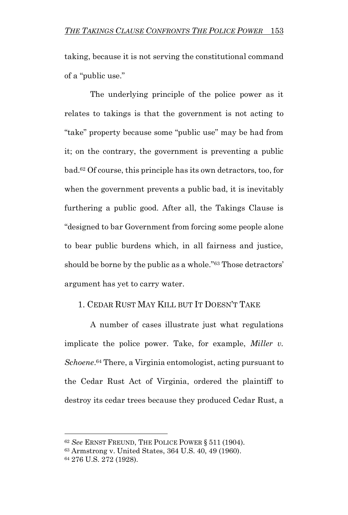taking, because it is not serving the constitutional command of a "public use."

The underlying principle of the police power as it relates to takings is that the government is not acting to "take" property because some "public use" may be had from it; on the contrary, the government is preventing a public bad.<sup>62</sup> Of course, this principle has its own detractors, too, for when the government prevents a public bad, it is inevitably furthering a public good. After all, the Takings Clause is "designed to bar Government from forcing some people alone to bear public burdens which, in all fairness and justice, should be borne by the public as a whole."<sup>63</sup> Those detractors' argument has yet to carry water.

### 1. CEDAR RUST MAY KILL BUT IT DOESN'T TAKE

A number of cases illustrate just what regulations implicate the police power. Take, for example, *Miller v.*  Schoene.<sup>64</sup> There, a Virginia entomologist, acting pursuant to the Cedar Rust Act of Virginia, ordered the plaintiff to destroy its cedar trees because they produced Cedar Rust, a

<sup>62</sup> *See* ERNST FREUND, THE POLICE POWER § 511 (1904).

<sup>63</sup> Armstrong v. United States, 364 U.S. 40, 49 (1960).

<sup>64</sup> 276 U.S. 272 (1928).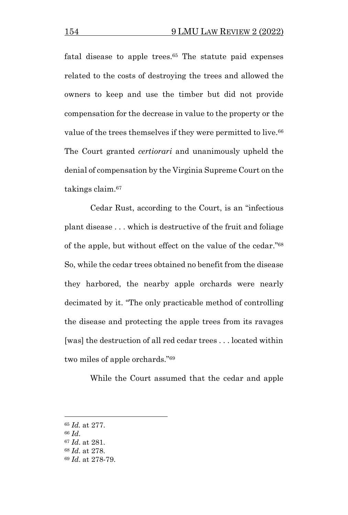fatal disease to apple trees.<sup>65</sup> The statute paid expenses related to the costs of destroying the trees and allowed the owners to keep and use the timber but did not provide compensation for the decrease in value to the property or the value of the trees themselves if they were permitted to live.<sup>66</sup> The Court granted *certiorari* and unanimously upheld the denial of compensation by the Virginia Supreme Court on the takings claim.<sup>67</sup>

Cedar Rust, according to the Court, is an "infectious plant disease . . . which is destructive of the fruit and foliage of the apple, but without effect on the value of the cedar."<sup>68</sup> So, while the cedar trees obtained no benefit from the disease they harbored, the nearby apple orchards were nearly decimated by it. "The only practicable method of controlling the disease and protecting the apple trees from its ravages [was] the destruction of all red cedar trees . . . located within two miles of apple orchards."<sup>69</sup>

While the Court assumed that the cedar and apple

<sup>66</sup> *Id*.

<sup>65</sup> *Id.* at 277.

<sup>67</sup> *Id*. at 281.

<sup>68</sup> *Id*. at 278.

<sup>69</sup> *Id*. at 278-79.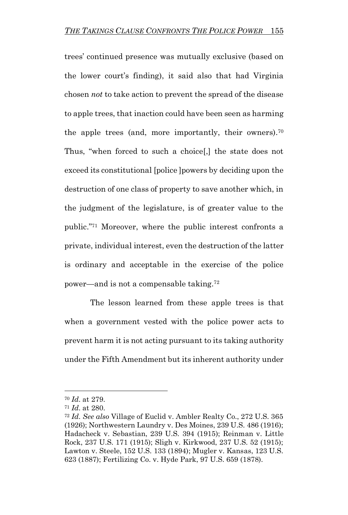trees' continued presence was mutually exclusive (based on the lower court's finding), it said also that had Virginia chosen *not* to take action to prevent the spread of the disease to apple trees, that inaction could have been seen as harming the apple trees (and, more importantly, their owners).<sup>70</sup> Thus, "when forced to such a choice[,] the state does not exceed its constitutional [police ]powers by deciding upon the destruction of one class of property to save another which, in the judgment of the legislature, is of greater value to the public."<sup>71</sup> Moreover, where the public interest confronts a private, individual interest, even the destruction of the latter is ordinary and acceptable in the exercise of the police power—and is not a compensable taking. 72

The lesson learned from these apple trees is that when a government vested with the police power acts to prevent harm it is not acting pursuant to its taking authority under the Fifth Amendment but its inherent authority under

<sup>70</sup> *Id*. at 279.

<sup>71</sup> *Id*. at 280.

<sup>72</sup> *Id*. *See also* Village of Euclid v. Ambler Realty Co., 272 U.S. 365 (1926); Northwestern Laundry v. Des Moines, 239 U.S. 486 (1916); Hadacheck v. Sebastian, 239 U.S. 394 (1915); Reinman v. Little Rock, 237 U.S. 171 (1915); Sligh v. Kirkwood, 237 U.S. 52 (1915); Lawton v. Steele, 152 U.S. 133 (1894); Mugler v. Kansas, 123 U.S. 623 (1887); Fertilizing Co. v. Hyde Park, 97 U.S. 659 (1878).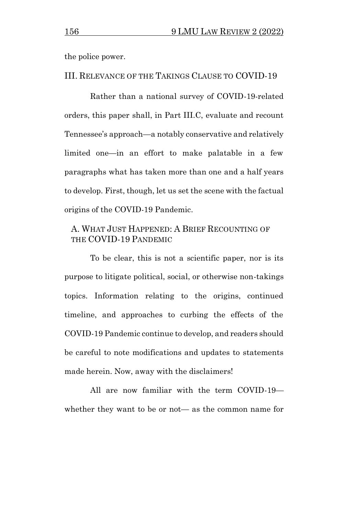the police power.

#### III. RELEVANCE OF THE TAKINGS CLAUSE TO COVID-19

Rather than a national survey of COVID-19-related orders, this paper shall, in Part III.C, evaluate and recount Tennessee's approach—a notably conservative and relatively limited one—in an effort to make palatable in a few paragraphs what has taken more than one and a half years to develop. First, though, let us set the scene with the factual origins of the COVID-19 Pandemic.

# A. WHAT JUST HAPPENED: A BRIEF RECOUNTING OF THE COVID-19 PANDEMIC

To be clear, this is not a scientific paper, nor is its purpose to litigate political, social, or otherwise non-takings topics. Information relating to the origins, continued timeline, and approaches to curbing the effects of the COVID-19 Pandemic continue to develop, and readers should be careful to note modifications and updates to statements made herein. Now, away with the disclaimers!

All are now familiar with the term COVID-19 whether they want to be or not— as the common name for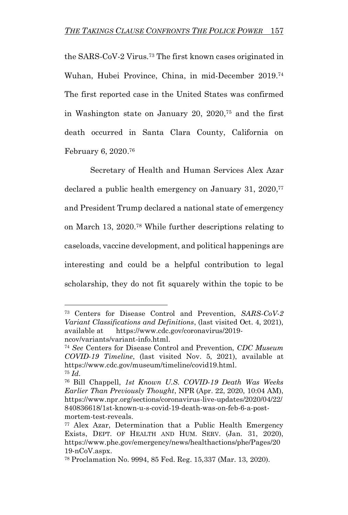the SARS-CoV-2 Virus.<sup>73</sup> The first known cases originated in Wuhan, Hubei Province, China, in mid-December 2019.<sup>74</sup> The first reported case in the United States was confirmed in Washington state on January 20, 2020,<sup>75</sup> and the first death occurred in Santa Clara County, California on February 6, 2020. 76

Secretary of Health and Human Services Alex Azar declared a public health emergency on January 31, 2020,<sup>77</sup> and President Trump declared a national state of emergency on March 13, 2020.<sup>78</sup> While further descriptions relating to caseloads, vaccine development, and political happenings are interesting and could be a helpful contribution to legal scholarship, they do not fit squarely within the topic to be

<sup>73</sup> Centers for Disease Control and Prevention, *SARS-CoV-2 Variant Classifications and Definitions*, (last visited Oct. 4, 2021), available at https://www.cdc.gov/coronavirus/2019 ncov/variants/variant-info.html.

<sup>74</sup> *See* Centers for Disease Control and Prevention, *CDC Museum COVID-19 Timeline*, (last visited Nov. 5, 2021), available at https://www.cdc.gov/museum/timeline/covid19.html. <sup>75</sup> *Id*.

<sup>76</sup> Bill Chappell, *1st Known U.S. COVID-19 Death Was Weeks Earlier Than Previously Thought*, NPR (Apr. 22, 2020, 10:04 AM), https://www.npr.org/sections/coronavirus-live-updates/2020/04/22/ 840836618/1st-known-u-s-covid-19-death-was-on-feb-6-a-postmortem-test-reveals.

<sup>77</sup> Alex Azar, Determination that a Public Health Emergency Exists, DEPT. OF HEALTH AND HUM. SERV. (Jan. 31, 2020), https://www.phe.gov/emergency/news/healthactions/phe/Pages/20 19-nCoV.aspx.

<sup>78</sup> Proclamation No. 9994, 85 Fed. Reg. 15,337 (Mar. 13, 2020).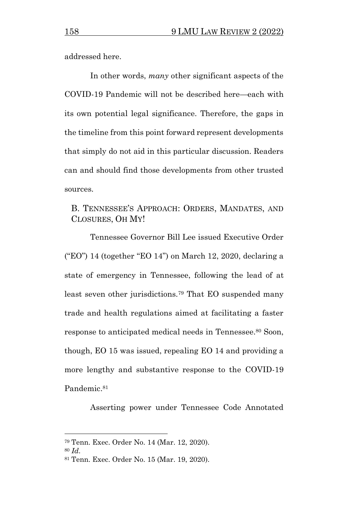addressed here.

In other words, *many* other significant aspects of the COVID-19 Pandemic will not be described here—each with its own potential legal significance. Therefore, the gaps in the timeline from this point forward represent developments that simply do not aid in this particular discussion. Readers can and should find those developments from other trusted sources.

## B. TENNESSEE'S APPROACH: ORDERS, MANDATES, AND CLOSURES, OH MY!

Tennessee Governor Bill Lee issued Executive Order ("EO") 14 (together "EO 14") on March 12, 2020, declaring a state of emergency in Tennessee, following the lead of at least seven other jurisdictions. <sup>79</sup> That EO suspended many trade and health regulations aimed at facilitating a faster response to anticipated medical needs in Tennessee. <sup>80</sup> Soon, though, EO 15 was issued, repealing EO 14 and providing a more lengthy and substantive response to the COVID-19 Pandemic. 81

Asserting power under Tennessee Code Annotated

<sup>79</sup> Tenn. Exec. Order No. 14 (Mar. 12, 2020).

<sup>80</sup> *Id*.

<sup>81</sup> Tenn. Exec. Order No. 15 (Mar. 19, 2020).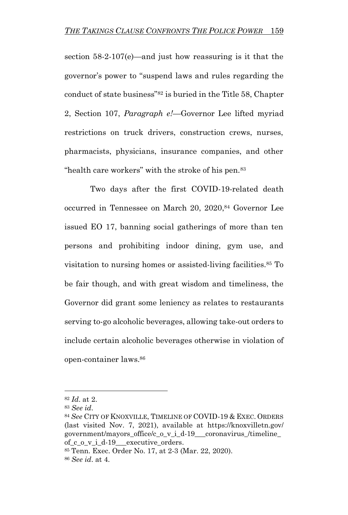section 58-2-107(e)—and just how reassuring is it that the governor's power to "suspend laws and rules regarding the conduct of state business"<sup>82</sup> is buried in the Title 58, Chapter 2, Section 107, *Paragraph e!*—Governor Lee lifted myriad restrictions on truck drivers, construction crews, nurses, pharmacists, physicians, insurance companies, and other "health care workers" with the stroke of his pen.<sup>83</sup>

Two days after the first COVID-19-related death occurred in Tennessee on March 20, 2020,<sup>84</sup> Governor Lee issued EO 17, banning social gatherings of more than ten persons and prohibiting indoor dining, gym use, and visitation to nursing homes or assisted-living facilities.<sup>85</sup> To be fair though, and with great wisdom and timeliness, the Governor did grant some leniency as relates to restaurants serving to-go alcoholic beverages, allowing take-out orders to include certain alcoholic beverages otherwise in violation of open-container laws.<sup>86</sup>

<sup>82</sup> *Id*. at 2.

<sup>83</sup> *See id*.

<sup>84</sup> *See* CITY OF KNOXVILLE, TIMELINE OF COVID-19 & EXEC. ORDERS (last visited Nov. 7, 2021), available at https://knoxvilletn.gov/ government/mayors\_office/c\_o\_v\_i\_d-19\_\_\_coronavirus\_/timeline\_ of\_c\_o\_v\_i\_d-19\_\_\_executive\_orders.

<sup>85</sup> Tenn. Exec. Order No. 17, at 2-3 (Mar. 22, 2020).

<sup>86</sup> *See id*. at 4.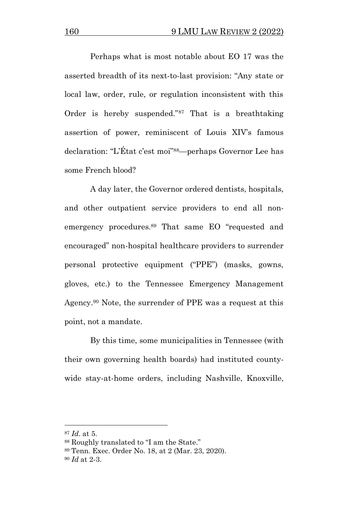Perhaps what is most notable about EO 17 was the asserted breadth of its next-to-last provision: "Any state or local law, order, rule, or regulation inconsistent with this Order is hereby suspended."<sup>87</sup> That is a breathtaking assertion of power, reminiscent of Louis XIV's famous declaration: "L'État c'est moi"88—perhaps Governor Lee has some French blood?

A day later, the Governor ordered dentists, hospitals, and other outpatient service providers to end all nonemergency procedures.<sup>89</sup> That same EO "requested and encouraged" non-hospital healthcare providers to surrender personal protective equipment ("PPE") (masks, gowns, gloves, etc.) to the Tennessee Emergency Management Agency. <sup>90</sup> Note, the surrender of PPE was a request at this point, not a mandate.

By this time, some municipalities in Tennessee (with their own governing health boards) had instituted countywide stay-at-home orders, including Nashville, Knoxville,

<sup>87</sup> *Id*. at 5.

<sup>88</sup> Roughly translated to "I am the State."

<sup>89</sup> Tenn. Exec. Order No. 18, at 2 (Mar. 23, 2020).

<sup>90</sup> *Id* at 2-3.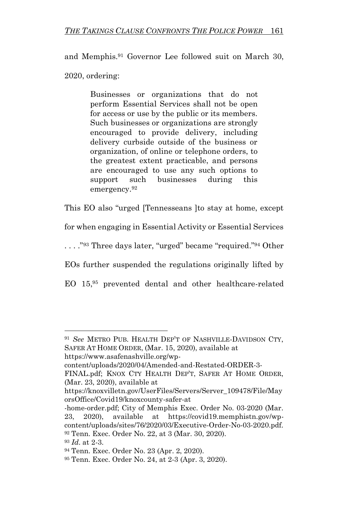and Memphis. <sup>91</sup> Governor Lee followed suit on March 30, 2020, ordering:

> Businesses or organizations that do not perform Essential Services shall not be open for access or use by the public or its members. Such businesses or organizations are strongly encouraged to provide delivery, including delivery curbside outside of the business or organization, of online or telephone orders, to the greatest extent practicable, and persons are encouraged to use any such options to support such businesses during this emergency.<sup>92</sup>

This EO also "urged [Tennesseans ]to stay at home, except

for when engaging in Essential Activity or Essential Services

. . . ."<sup>93</sup> Three days later, "urged" became "required." <sup>94</sup> Other

EOs further suspended the regulations originally lifted by

EO 15,<sup>95</sup> prevented dental and other healthcare-related

<sup>91</sup> *See* METRO PUB. HEALTH DEP'T OF NASHVILLE-DAVIDSON CTY, SAFER AT HOME ORDER, (Mar. 15, 2020), available at

https://www.asafenashville.org/wp-

content/uploads/2020/04/Amended-and-Restated-ORDER-3-

FINAL.pdf; KNOX CTY HEALTH DEP'T, SAFER AT HOME ORDER, (Mar. 23, 2020), available at

https://knoxvilletn.gov/UserFiles/Servers/Server\_109478/File/May orsOffice/Covid19/knoxcounty-safer-at

<sup>-</sup>home-order.pdf; City of Memphis Exec. Order No. 03-2020 (Mar. 23, 2020), available at https://covid19.memphistn.gov/wpcontent/uploads/sites/76/2020/03/Executive-Order-No-03-2020.pdf. <sup>92</sup> Tenn. Exec. Order No. 22, at 3 (Mar. 30, 2020).

<sup>93</sup> *Id*. at 2-3.

<sup>94</sup> Tenn. Exec. Order No. 23 (Apr. 2, 2020).

<sup>95</sup> Tenn. Exec. Order No. 24, at 2-3 (Apr. 3, 2020).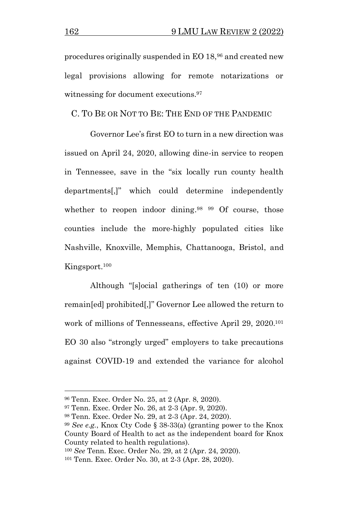procedures originally suspended in EO 18,<sup>96</sup> and created new legal provisions allowing for remote notarizations or witnessing for document executions.<sup>97</sup>

C. TO BE OR NOT TO BE: THE END OF THE PANDEMIC

Governor Lee's first EO to turn in a new direction was issued on April 24, 2020, allowing dine-in service to reopen in Tennessee, save in the "six locally run county health departments[,]" which could determine independently whether to reopen indoor dining.<sup>98 99</sup> Of course, those counties include the more-highly populated cities like Nashville, Knoxville, Memphis, Chattanooga, Bristol, and Kingsport. 100

Although "[s]ocial gatherings of ten (10) or more remain[ed] prohibited[,]" Governor Lee allowed the return to work of millions of Tennesseans, effective April 29, 2020.<sup>101</sup> EO 30 also "strongly urged" employers to take precautions against COVID-19 and extended the variance for alcohol

<sup>96</sup> Tenn. Exec. Order No. 25, at 2 (Apr. 8, 2020).

<sup>97</sup> Tenn. Exec. Order No. 26, at 2-3 (Apr. 9, 2020).

<sup>98</sup> Tenn. Exec. Order No. 29, at 2-3 (Apr. 24, 2020).

<sup>99</sup> *See e.g.*, Knox Cty Code § 38-33(a) (granting power to the Knox County Board of Health to act as the independent board for Knox County related to health regulations).

<sup>100</sup> *See* Tenn. Exec. Order No. 29, at 2 (Apr. 24, 2020).

<sup>101</sup> Tenn. Exec. Order No. 30, at 2-3 (Apr. 28, 2020).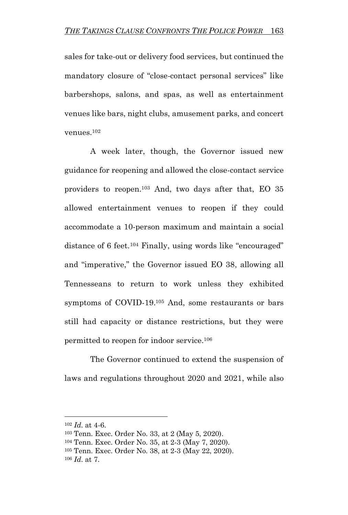sales for take-out or delivery food services, but continued the mandatory closure of "close-contact personal services" like barbershops, salons, and spas, as well as entertainment venues like bars, night clubs, amusement parks, and concert venues.<sup>102</sup>

A week later, though, the Governor issued new guidance for reopening and allowed the close-contact service providers to reopen.<sup>103</sup> And, two days after that, EO 35 allowed entertainment venues to reopen if they could accommodate a 10-person maximum and maintain a social distance of 6 feet.<sup>104</sup> Finally, using words like "encouraged" and "imperative," the Governor issued EO 38, allowing all Tennesseans to return to work unless they exhibited symptoms of COVID-19.<sup>105</sup> And, some restaurants or bars still had capacity or distance restrictions, but they were permitted to reopen for indoor service.<sup>106</sup>

The Governor continued to extend the suspension of laws and regulations throughout 2020 and 2021, while also

<sup>102</sup> *Id*. at 4-6.

<sup>103</sup> Tenn. Exec. Order No. 33, at 2 (May 5, 2020).

<sup>104</sup> Tenn. Exec. Order No. 35, at 2-3 (May 7, 2020).

<sup>105</sup> Tenn. Exec. Order No. 38, at 2-3 (May 22, 2020).

<sup>106</sup> *Id*. at 7.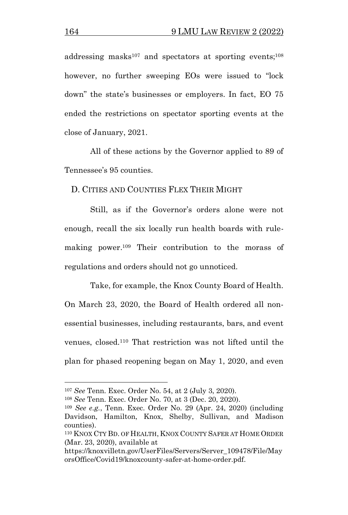addressing masks<sup>107</sup> and spectators at sporting events;<sup>108</sup> however, no further sweeping EOs were issued to "lock down" the state's businesses or employers. In fact, EO 75 ended the restrictions on spectator sporting events at the close of January, 2021.

All of these actions by the Governor applied to 89 of Tennessee's 95 counties.

D. CITIES AND COUNTIES FLEX THEIR MIGHT

Still, as if the Governor's orders alone were not enough, recall the six locally run health boards with rulemaking power. <sup>109</sup> Their contribution to the morass of regulations and orders should not go unnoticed.

Take, for example, the Knox County Board of Health. On March 23, 2020, the Board of Health ordered all nonessential businesses, including restaurants, bars, and event venues, closed.<sup>110</sup> That restriction was not lifted until the plan for phased reopening began on May 1, 2020, and even

<sup>107</sup> *See* Tenn. Exec. Order No. 54, at 2 (July 3, 2020).

<sup>108</sup> *See* Tenn. Exec. Order No. 70, at 3 (Dec. 20, 2020).

<sup>109</sup> *See e.g.*, Tenn. Exec. Order No. 29 (Apr. 24, 2020) (including Davidson, Hamilton, Knox, Shelby, Sullivan, and Madison counties).

<sup>110</sup> KNOX CTY BD. OF HEALTH, KNOX COUNTY SAFER AT HOME ORDER (Mar. 23, 2020), available at

https://knoxvilletn.gov/UserFiles/Servers/Server\_109478/File/May orsOffice/Covid19/knoxcounty-safer-at-home-order.pdf.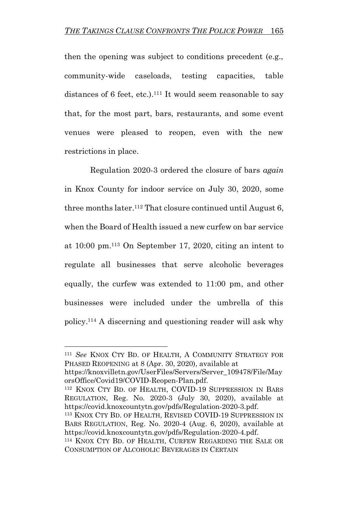then the opening was subject to conditions precedent (e.g., community-wide caseloads, testing capacities, table distances of 6 feet, etc.).<sup>111</sup> It would seem reasonable to say that, for the most part, bars, restaurants, and some event venues were pleased to reopen, even with the new restrictions in place.

Regulation 2020-3 ordered the closure of bars *again*  in Knox County for indoor service on July 30, 2020, some three months later. <sup>112</sup> That closure continued until August 6, when the Board of Health issued a new curfew on bar service at 10:00 pm.<sup>113</sup> On September 17, 2020, citing an intent to regulate all businesses that serve alcoholic beverages equally, the curfew was extended to 11:00 pm, and other businesses were included under the umbrella of this policy. <sup>114</sup> A discerning and questioning reader will ask why

<sup>111</sup> *See* KNOX CTY BD. OF HEALTH, A COMMUNITY STRATEGY FOR PHASED REOPENING at 8 (Apr. 30, 2020), available at

https://knoxvilletn.gov/UserFiles/Servers/Server\_109478/File/May orsOffice/Covid19/COVID-Reopen-Plan.pdf.

<sup>112</sup> KNOX CTY BD. OF HEALTH, COVID-19 SUPPRESSION IN BARS REGULATION, Reg. No. 2020-3 (July 30, 2020), available at https://covid.knoxcountytn.gov/pdfs/Regulation-2020-3.pdf.

<sup>113</sup> KNOX CTY BD. OF HEALTH, REVISED COVID-19 SUPPRESSION IN BARS REGULATION, Reg. No. 2020-4 (Aug. 6, 2020), available at https://covid.knoxcountytn.gov/pdfs/Regulation-2020-4.pdf.

<sup>114</sup> KNOX CTY BD. OF HEALTH, CURFEW REGARDING THE SALE OR CONSUMPTION OF ALCOHOLIC BEVERAGES IN CERTAIN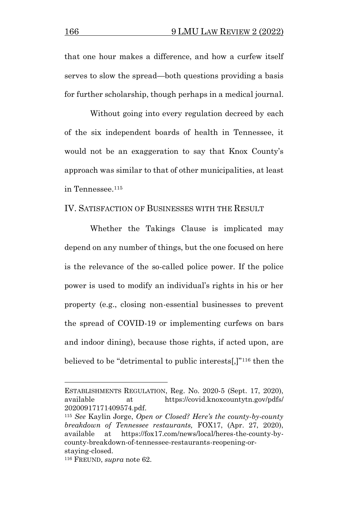that one hour makes a difference, and how a curfew itself serves to slow the spread—both questions providing a basis for further scholarship, though perhaps in a medical journal.

Without going into every regulation decreed by each of the six independent boards of health in Tennessee, it would not be an exaggeration to say that Knox County's approach was similar to that of other municipalities, at least in Tennessee. 115

#### IV. SATISFACTION OF BUSINESSES WITH THE RESULT

Whether the Takings Clause is implicated may depend on any number of things, but the one focused on here is the relevance of the so-called police power. If the police power is used to modify an individual's rights in his or her property (e.g., closing non-essential businesses to prevent the spread of COVID-19 or implementing curfews on bars and indoor dining), because those rights, if acted upon, are believed to be "detrimental to public interests[,]"<sup>116</sup> then the

ESTABLISHMENTS REGULATION, Reg. No. 2020-5 (Sept. 17, 2020), available at https://covid.knoxcountytn.gov/pdfs/ 20200917171409574.pdf.

<sup>115</sup> *See* Kaylin Jorge, *Open or Closed? Here's the county-by-county breakdown of Tennessee restaurants,* FOX17, (Apr. 27, 2020), available at https://fox17.com/news/local/heres-the-county-bycounty-breakdown-of-tennessee-restaurants-reopening-orstaying-closed.

<sup>116</sup> FREUND, *supra* note 62.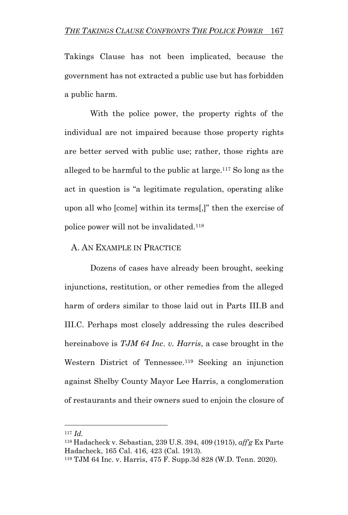Takings Clause has not been implicated, because the government has not extracted a public use but has forbidden a public harm.

With the police power, the property rights of the individual are not impaired because those property rights are better served with public use; rather, those rights are alleged to be harmful to the public at large.<sup>117</sup> So long as the act in question is "a legitimate regulation, operating alike upon all who [come] within its terms[,]" then the exercise of police power will not be invalidated.<sup>118</sup>

#### A. AN EXAMPLE IN PRACTICE

Dozens of cases have already been brought, seeking injunctions, restitution, or other remedies from the alleged harm of orders similar to those laid out in Parts III.B and III.C. Perhaps most closely addressing the rules described hereinabove is *TJM 64 Inc. v. Harris*, a case brought in the Western District of Tennessee.<sup>119</sup> Seeking an injunction against Shelby County Mayor Lee Harris, a conglomeration of restaurants and their owners sued to enjoin the closure of

<sup>117</sup> *Id.*

<sup>118</sup> Hadacheck v. Sebastian, 239 U.S. 394, 409 (1915), *aff'g* Ex Parte Hadacheck, 165 Cal. 416, 423 (Cal. 1913).

<sup>119</sup> TJM 64 Inc. v. Harris, 475 F. Supp.3d 828 (W.D. Tenn. 2020).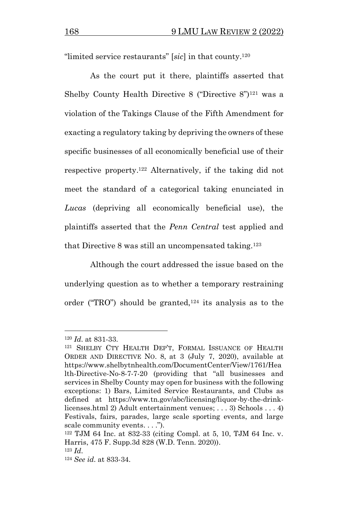"limited service restaurants" [*sic*] in that county.<sup>120</sup>

As the court put it there, plaintiffs asserted that Shelby County Health Directive 8 ("Directive  $8$ ")<sup>121</sup> was a violation of the Takings Clause of the Fifth Amendment for exacting a regulatory taking by depriving the owners of these specific businesses of all economically beneficial use of their respective property. <sup>122</sup> Alternatively, if the taking did not meet the standard of a categorical taking enunciated in *Lucas* (depriving all economically beneficial use), the plaintiffs asserted that the *Penn Central* test applied and that Directive 8 was still an uncompensated taking.<sup>123</sup>

Although the court addressed the issue based on the underlying question as to whether a temporary restraining order ("TRO") should be granted, $124$  its analysis as to the

<sup>120</sup> *Id*. at 831-33.

<sup>121</sup> SHELBY CTY HEALTH DEP'T, FORMAL ISSUANCE OF HEALTH ORDER AND DIRECTIVE NO. 8, at 3 (July 7, 2020), available at https://www.shelbytnhealth.com/DocumentCenter/View/1761/Hea lth-Directive-No-8-7-7-20 (providing that "all businesses and services in Shelby County may open for business with the following exceptions: 1) Bars, Limited Service Restaurants, and Clubs as defined at https://www.tn.gov/abc/licensing/liquor-by-the-drinklicenses.html 2) Adult entertainment venues; . . . 3) Schools . . . 4) Festivals, fairs, parades, large scale sporting events, and large scale community events. . . .").

<sup>122</sup> TJM 64 Inc. at 832-33 (citing Compl. at 5, 10, TJM 64 Inc. v. Harris, 475 F. Supp.3d 828 (W.D. Tenn. 2020)).

<sup>123</sup> *Id*.

<sup>124</sup> *See id*. at 833-34.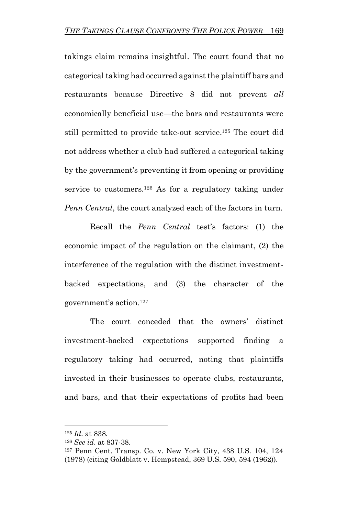takings claim remains insightful. The court found that no categorical taking had occurred against the plaintiff bars and restaurants because Directive 8 did not prevent *all*  economically beneficial use—the bars and restaurants were still permitted to provide take-out service. <sup>125</sup> The court did not address whether a club had suffered a categorical taking by the government's preventing it from opening or providing service to customers.<sup>126</sup> As for a regulatory taking under *Penn Central*, the court analyzed each of the factors in turn.

Recall the *Penn Central* test's factors: (1) the economic impact of the regulation on the claimant, (2) the interference of the regulation with the distinct investmentbacked expectations, and (3) the character of the government's action.<sup>127</sup>

The court conceded that the owners' distinct investment-backed expectations supported finding a regulatory taking had occurred, noting that plaintiffs invested in their businesses to operate clubs, restaurants, and bars, and that their expectations of profits had been

<sup>125</sup> *Id*. at 838.

<sup>126</sup> *See id*. at 837-38.

<sup>127</sup> Penn Cent. Transp. Co. v. New York City, 438 U.S. 104, 124 (1978) (citing Goldblatt v. Hempstead, 369 U.S. 590, 594 (1962)).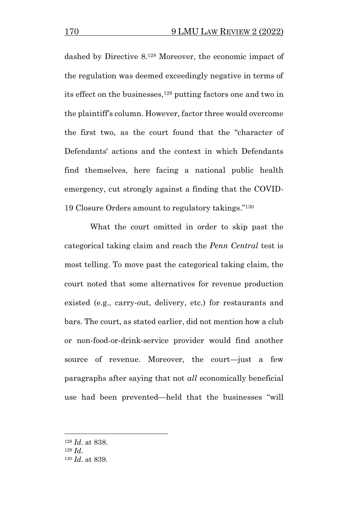dashed by Directive 8. <sup>128</sup> Moreover, the economic impact of the regulation was deemed exceedingly negative in terms of its effect on the businesses, <sup>129</sup> putting factors one and two in the plaintiff's column. However, factor three would overcome the first two, as the court found that the "character of Defendants' actions and the context in which Defendants find themselves, here facing a national public health emergency, cut strongly against a finding that the COVID-19 Closure Orders amount to regulatory takings."<sup>130</sup>

What the court omitted in order to skip past the categorical taking claim and reach the *Penn Central* test is most telling. To move past the categorical taking claim, the court noted that some alternatives for revenue production existed (e.g., carry-out, delivery, etc.) for restaurants and bars. The court, as stated earlier, did not mention how a club or non-food-or-drink-service provider would find another source of revenue. Moreover, the court—just a few paragraphs after saying that not *all* economically beneficial use had been prevented—held that the businesses "will

<sup>128</sup> *Id*. at 838.

<sup>129</sup> *Id*.

<sup>130</sup> *Id*. at 839.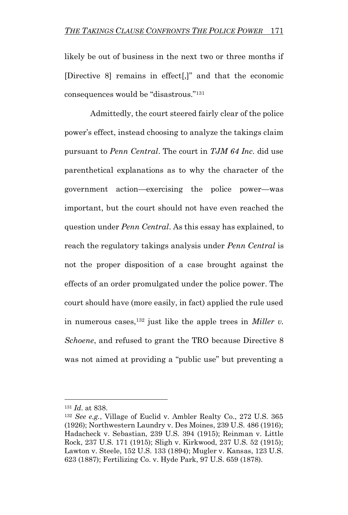likely be out of business in the next two or three months if [Directive 8] remains in effect[,]" and that the economic consequences would be "disastrous."<sup>131</sup>

Admittedly, the court steered fairly clear of the police power's effect, instead choosing to analyze the takings claim pursuant to *Penn Central*. The court in *TJM 64 Inc.* did use parenthetical explanations as to why the character of the government action—exercising the police power—was important, but the court should not have even reached the question under *Penn Central*. As this essay has explained, to reach the regulatory takings analysis under *Penn Central* is not the proper disposition of a case brought against the effects of an order promulgated under the police power. The court should have (more easily, in fact) applied the rule used in numerous cases,<sup>132</sup> just like the apple trees in *Miller v. Schoene*, and refused to grant the TRO because Directive 8 was not aimed at providing a "public use" but preventing a

<sup>131</sup> *Id*. at 838.

<sup>132</sup> *See e.g.*, Village of Euclid v. Ambler Realty Co., 272 U.S. 365 (1926); Northwestern Laundry v. Des Moines, 239 U.S. 486 (1916); Hadacheck v. Sebastian, 239 U.S. 394 (1915); Reinman v. Little Rock, 237 U.S. 171 (1915); Sligh v. Kirkwood, 237 U.S. 52 (1915); Lawton v. Steele, 152 U.S. 133 (1894); Mugler v. Kansas, 123 U.S. 623 (1887); Fertilizing Co. v. Hyde Park, 97 U.S. 659 (1878).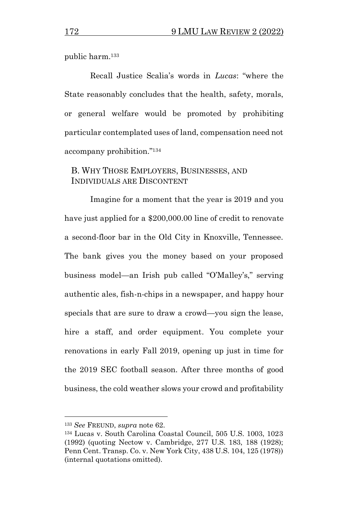public harm.<sup>133</sup>

Recall Justice Scalia's words in *Lucas*: "where the State reasonably concludes that the health, safety, morals, or general welfare would be promoted by prohibiting particular contemplated uses of land, compensation need not accompany prohibition."<sup>134</sup>

# B. WHY THOSE EMPLOYERS, BUSINESSES, AND INDIVIDUALS ARE DISCONTENT

Imagine for a moment that the year is 2019 and you have just applied for a \$200,000.00 line of credit to renovate a second-floor bar in the Old City in Knoxville, Tennessee. The bank gives you the money based on your proposed business model—an Irish pub called "O'Malley's," serving authentic ales, fish-n-chips in a newspaper, and happy hour specials that are sure to draw a crowd—you sign the lease, hire a staff, and order equipment. You complete your renovations in early Fall 2019, opening up just in time for the 2019 SEC football season. After three months of good business, the cold weather slows your crowd and profitability

<sup>133</sup> *See* FREUND, *supra* note 62.

<sup>134</sup> Lucas v. South Carolina Coastal Council, 505 U.S. 1003, 1023 (1992) (quoting Nectow v. Cambridge, 277 U.S. 183, 188 (1928); Penn Cent. Transp. Co. v. New York City, 438 U.S. 104, 125 (1978)) (internal quotations omitted).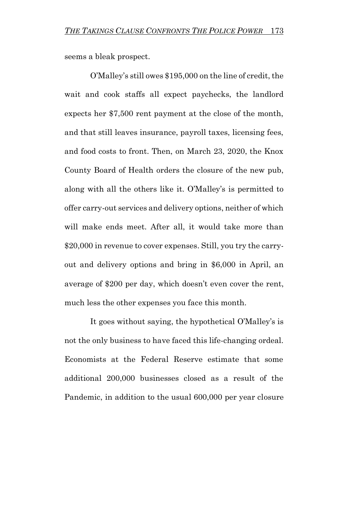seems a bleak prospect.

O'Malley's still owes \$195,000 on the line of credit, the wait and cook staffs all expect paychecks, the landlord expects her \$7,500 rent payment at the close of the month, and that still leaves insurance, payroll taxes, licensing fees, and food costs to front. Then, on March 23, 2020, the Knox County Board of Health orders the closure of the new pub, along with all the others like it. O'Malley's is permitted to offer carry-out services and delivery options, neither of which will make ends meet. After all, it would take more than \$20,000 in revenue to cover expenses. Still, you try the carryout and delivery options and bring in \$6,000 in April, an average of \$200 per day, which doesn't even cover the rent, much less the other expenses you face this month.

It goes without saying, the hypothetical O'Malley's is not the only business to have faced this life-changing ordeal. Economists at the Federal Reserve estimate that some additional 200,000 businesses closed as a result of the Pandemic, in addition to the usual 600,000 per year closure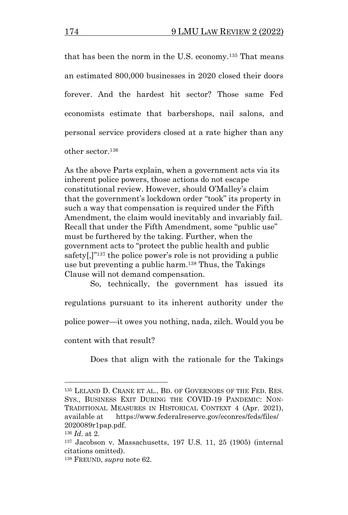that has been the norm in the U.S. economy.<sup>135</sup> That means an estimated 800,000 businesses in 2020 closed their doors forever. And the hardest hit sector? Those same Fed economists estimate that barbershops, nail salons, and personal service providers closed at a rate higher than any other sector.<sup>136</sup>

As the above Parts explain, when a government acts via its inherent police powers, those actions do not escape constitutional review. However, should O'Malley's claim that the government's lockdown order "took" its property in such a way that compensation is required under the Fifth Amendment, the claim would inevitably and invariably fail. Recall that under the Fifth Amendment, some "public use" must be furthered by the taking. Further, when the government acts to "protect the public health and public safety[,]"<sup>137</sup> the police power's role is not providing a public use but preventing a public harm.<sup>138</sup> Thus, the Takings Clause will not demand compensation.

So, technically, the government has issued its regulations pursuant to its inherent authority under the police power—it owes you nothing, nada, zilch. Would you be content with that result?

Does that align with the rationale for the Takings

<sup>135</sup> LELAND D. CRANE ET AL., BD. OF GOVERNORS OF THE FED. RES. SYS., BUSINESS EXIT DURING THE COVID-19 PANDEMIC: NON-TRADITIONAL MEASURES IN HISTORICAL CONTEXT 4 (Apr. 2021), available at https://www.federalreserve.gov/econres/feds/files/ 2020089r1pap.pdf.

<sup>136</sup> *Id*. at 2.

<sup>137</sup> Jacobson v. Massachusetts, 197 U.S. 11, 25 (1905) (internal citations omitted).

<sup>138</sup> FREUND, *supra* note 62.